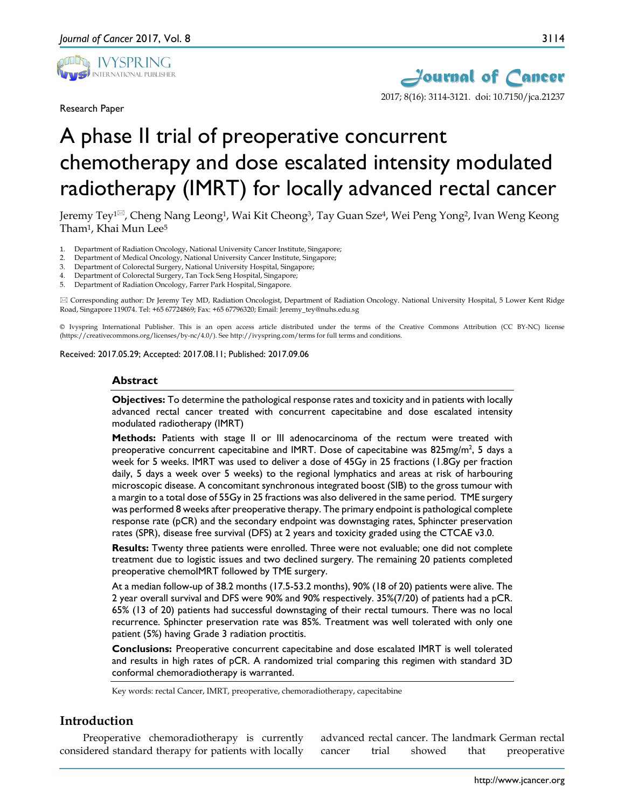

Research Paper



# A phase II trial of preoperative concurrent chemotherapy and dose escalated intensity modulated radiotherapy (IMRT) for locally advanced rectal cancer

Jeremy Tey<sup>1⊠</sup>, Cheng Nang Leong<sup>1</sup>, Wai Kit Cheong<sup>3</sup>, Tay Guan Sze<sup>4</sup>, Wei Peng Yong<sup>2</sup>, Ivan Weng Keong Tham1, Khai Mun Lee5

1. Department of Radiation Oncology, National University Cancer Institute, Singapore;

- 2. Department of Medical Oncology, National University Cancer Institute, Singapore;
- 3. Department of Colorectal Surgery, National University Hospital, Singapore;
- 4. Department of Colorectal Surgery, Tan Tock Seng Hospital, Singapore;
- 5. Department of Radiation Oncology, Farrer Park Hospital, Singapore.

 Corresponding author: Dr Jeremy Tey MD, Radiation Oncologist, Department of Radiation Oncology. National University Hospital, 5 Lower Kent Ridge Road, Singapore 119074. Tel: +65 67724869; Fax: +65 67796320; Email: Jeremy\_tey@nuhs.edu.sg

© Ivyspring International Publisher. This is an open access article distributed under the terms of the Creative Commons Attribution (CC BY-NC) license (https://creativecommons.org/licenses/by-nc/4.0/). See http://ivyspring.com/terms for full terms and conditions.

Received: 2017.05.29; Accepted: 2017.08.11; Published: 2017.09.06

#### **Abstract**

**Objectives:** To determine the pathological response rates and toxicity and in patients with locally advanced rectal cancer treated with concurrent capecitabine and dose escalated intensity modulated radiotherapy (IMRT)

**Methods:** Patients with stage II or III adenocarcinoma of the rectum were treated with preoperative concurrent capecitabine and IMRT. Dose of capecitabine was  $825$ mg/m<sup>2</sup>, 5 days a week for 5 weeks. IMRT was used to deliver a dose of 45Gy in 25 fractions (1.8Gy per fraction daily, 5 days a week over 5 weeks) to the regional lymphatics and areas at risk of harbouring microscopic disease. A concomitant synchronous integrated boost (SIB) to the gross tumour with a margin to a total dose of 55Gy in 25 fractions was also delivered in the same period. TME surgery was performed 8 weeks after preoperative therapy. The primary endpoint is pathological complete response rate (pCR) and the secondary endpoint was downstaging rates, Sphincter preservation rates (SPR), disease free survival (DFS) at 2 years and toxicity graded using the CTCAE v3.0.

**Results:** Twenty three patients were enrolled. Three were not evaluable; one did not complete treatment due to logistic issues and two declined surgery. The remaining 20 patients completed preoperative chemoIMRT followed by TME surgery.

At a median follow-up of 38.2 months (17.5-53.2 months), 90% (18 of 20) patients were alive. The 2 year overall survival and DFS were 90% and 90% respectively. 35%(7/20) of patients had a pCR. 65% (13 of 20) patients had successful downstaging of their rectal tumours. There was no local recurrence. Sphincter preservation rate was 85%. Treatment was well tolerated with only one patient (5%) having Grade 3 radiation proctitis.

**Conclusions:** Preoperative concurrent capecitabine and dose escalated IMRT is well tolerated and results in high rates of pCR. A randomized trial comparing this regimen with standard 3D conformal chemoradiotherapy is warranted.

Key words: rectal Cancer, IMRT, preoperative, chemoradiotherapy, capecitabine

# **Introduction**

Preoperative chemoradiotherapy is currently considered standard therapy for patients with locally advanced rectal cancer. The landmark German rectal cancer trial showed that preoperative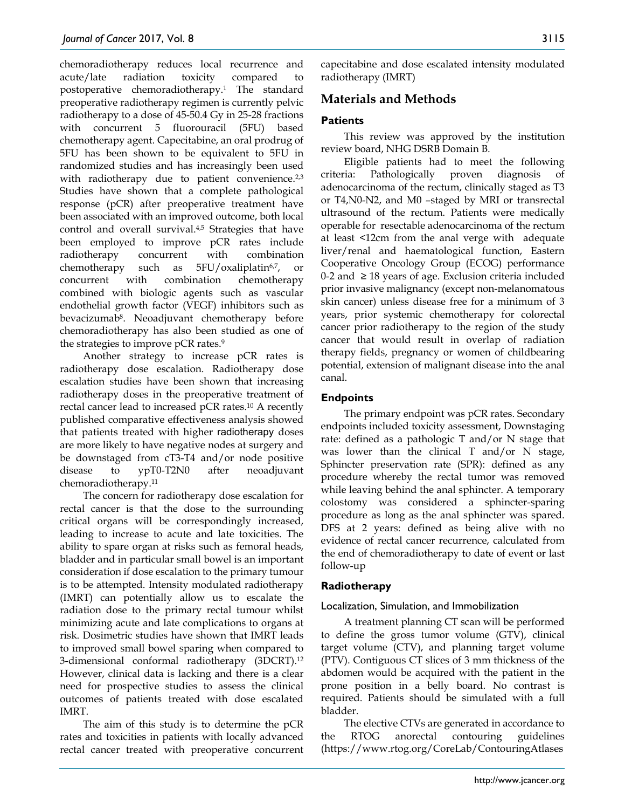chemoradiotherapy reduces local recurrence and acute/late radiation toxicity compared to postoperative chemoradiotherapy.1 The standard preoperative radiotherapy regimen is currently pelvic radiotherapy to a dose of 45-50.4 Gy in 25-28 fractions with concurrent 5 fluorouracil (5FU) based chemotherapy agent. Capecitabine, an oral prodrug of 5FU has been shown to be equivalent to 5FU in randomized studies and has increasingly been used with radiotherapy due to patient convenience.<sup>2,3</sup> Studies have shown that a complete pathological response (pCR) after preoperative treatment have been associated with an improved outcome, both local control and overall survival.4,5 Strategies that have been employed to improve pCR rates include radiotherapy concurrent with combination chemotherapy such as 5FU/oxaliplatin6,7, or concurrent with combination chemotherapy combined with biologic agents such as vascular endothelial growth factor (VEGF) inhibitors such as bevacizumab8. Neoadjuvant chemotherapy before chemoradiotherapy has also been studied as one of the strategies to improve pCR rates. 9

Another strategy to increase pCR rates is radiotherapy dose escalation. Radiotherapy dose escalation studies have been shown that increasing radiotherapy doses in the preoperative treatment of rectal cancer lead to increased pCR rates.10 A recently published comparative effectiveness analysis showed that patients treated with higher radiotherapy doses are more likely to have negative nodes at surgery and be downstaged from cT3-T4 and/or node positive disease to ypT0-T2N0 after neoadjuvant chemoradiotherapy.11

The concern for radiotherapy dose escalation for rectal cancer is that the dose to the surrounding critical organs will be correspondingly increased, leading to increase to acute and late toxicities. The ability to spare organ at risks such as femoral heads, bladder and in particular small bowel is an important consideration if dose escalation to the primary tumour is to be attempted. Intensity modulated radiotherapy (IMRT) can potentially allow us to escalate the radiation dose to the primary rectal tumour whilst minimizing acute and late complications to organs at risk. Dosimetric studies have shown that IMRT leads to improved small bowel sparing when compared to 3-dimensional conformal radiotherapy (3DCRT).12 However, clinical data is lacking and there is a clear need for prospective studies to assess the clinical outcomes of patients treated with dose escalated IMRT.

The aim of this study is to determine the pCR rates and toxicities in patients with locally advanced rectal cancer treated with preoperative concurrent capecitabine and dose escalated intensity modulated radiotherapy (IMRT)

# **Materials and Methods**

# **Patients**

This review was approved by the institution review board, NHG DSRB Domain B.

Eligible patients had to meet the following criteria: Pathologically proven diagnosis of adenocarcinoma of the rectum, clinically staged as T3 or T4,N0-N2, and M0 –staged by MRI or transrectal ultrasound of the rectum. Patients were medically operable for resectable adenocarcinoma of the rectum at least <12cm from the anal verge with adequate liver/renal and haematological function, Eastern Cooperative Oncology Group (ECOG) performance 0-2 and  $\geq$  18 years of age. Exclusion criteria included prior invasive malignancy (except non-melanomatous skin cancer) unless disease free for a minimum of 3 years, prior systemic chemotherapy for colorectal cancer prior radiotherapy to the region of the study cancer that would result in overlap of radiation therapy fields, pregnancy or women of childbearing potential, extension of malignant disease into the anal canal.

# **Endpoints**

The primary endpoint was pCR rates. Secondary endpoints included toxicity assessment, Downstaging rate: defined as a pathologic T and/or N stage that was lower than the clinical T and/or N stage, Sphincter preservation rate (SPR): defined as any procedure whereby the rectal tumor was removed while leaving behind the anal sphincter. A temporary colostomy was considered a sphincter-sparing procedure as long as the anal sphincter was spared. DFS at 2 years: defined as being alive with no evidence of rectal cancer recurrence, calculated from the end of chemoradiotherapy to date of event or last follow-up

## **Radiotherapy**

## Localization, Simulation, and Immobilization

A treatment planning CT scan will be performed to define the gross tumor volume (GTV), clinical target volume (CTV), and planning target volume (PTV). Contiguous CT slices of 3 mm thickness of the abdomen would be acquired with the patient in the prone position in a belly board. No contrast is required. Patients should be simulated with a full bladder.

The elective CTVs are generated in accordance to the RTOG anorectal contouring guidelines (https://www.rtog.org/CoreLab/ContouringAtlases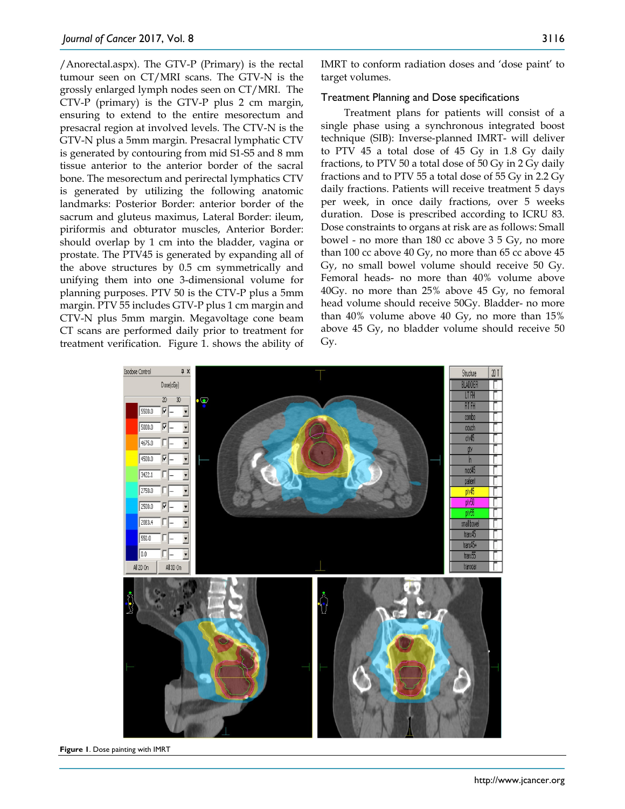/Anorectal.aspx). The GTV-P (Primary) is the rectal tumour seen on CT/MRI scans. The GTV-N is the grossly enlarged lymph nodes seen on CT/MRI. The CTV-P (primary) is the GTV-P plus 2 cm margin, ensuring to extend to the entire mesorectum and presacral region at involved levels. The CTV-N is the GTV-N plus a 5mm margin. Presacral lymphatic CTV is generated by contouring from mid S1-S5 and 8 mm tissue anterior to the anterior border of the sacral bone. The mesorectum and perirectal lymphatics CTV is generated by utilizing the following anatomic landmarks: Posterior Border: anterior border of the sacrum and gluteus maximus, Lateral Border: ileum, piriformis and obturator muscles, Anterior Border: should overlap by 1 cm into the bladder, vagina or prostate. The PTV45 is generated by expanding all of the above structures by 0.5 cm symmetrically and unifying them into one 3-dimensional volume for planning purposes. PTV 50 is the CTV-P plus a 5mm margin. PTV 55 includes GTV-P plus 1 cm margin and CTV-N plus 5mm margin. Megavoltage cone beam CT scans are performed daily prior to treatment for treatment verification. Figure 1. shows the ability of

IMRT to conform radiation doses and 'dose paint' to target volumes.

#### Treatment Planning and Dose specifications

Treatment plans for patients will consist of a single phase using a synchronous integrated boost technique (SIB): Inverse-planned IMRT- will deliver to PTV 45 a total dose of 45 Gy in 1.8 Gy daily fractions, to PTV 50 a total dose of 50 Gy in 2 Gy daily fractions and to PTV 55 a total dose of 55 Gy in 2.2 Gy daily fractions. Patients will receive treatment 5 days per week, in once daily fractions, over 5 weeks duration. Dose is prescribed according to ICRU 83. Dose constraints to organs at risk are as follows: Small bowel - no more than 180 cc above 3 5 Gy, no more than 100 cc above 40 Gy, no more than 65 cc above 45 Gy, no small bowel volume should receive 50 Gy. Femoral heads- no more than 40% volume above 40Gy. no more than 25% above 45 Gy, no femoral head volume should receive 50Gy. Bladder- no more than 40% volume above 40 Gy, no more than 15% above 45 Gy, no bladder volume should receive 50 Gy.



**Figure 1**. Dose painting with IMRT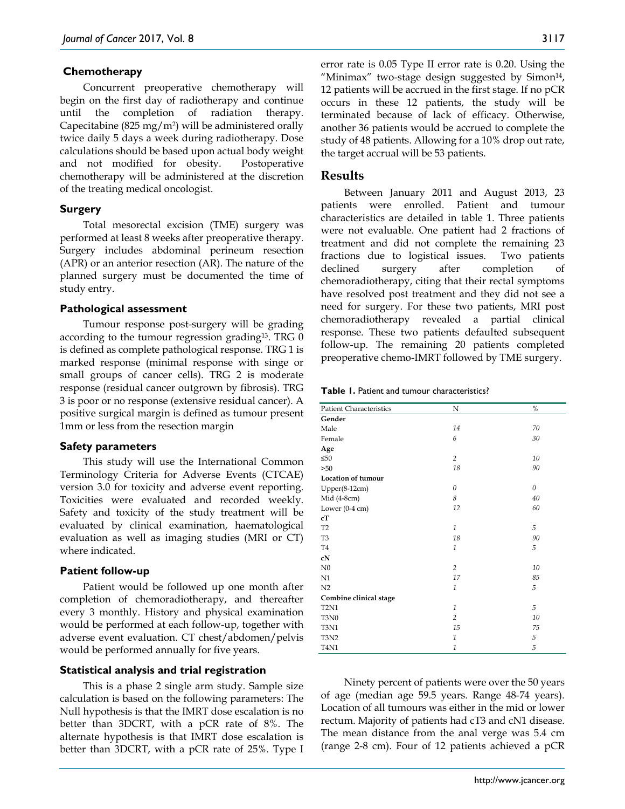## **Chemotherapy**

Concurrent preoperative chemotherapy will begin on the first day of radiotherapy and continue until the completion of radiation therapy. Capecitabine (825 mg/m<sup>2</sup>) will be administered orally twice daily 5 days a week during radiotherapy. Dose calculations should be based upon actual body weight and not modified for obesity. Postoperative chemotherapy will be administered at the discretion of the treating medical oncologist.

## **Surgery**

Total mesorectal excision (TME) surgery was performed at least 8 weeks after preoperative therapy. Surgery includes abdominal perineum resection (APR) or an anterior resection (AR). The nature of the planned surgery must be documented the time of study entry.

#### **Pathological assessment**

Tumour response post-surgery will be grading according to the tumour regression grading13. TRG 0 is defined as complete pathological response. TRG 1 is marked response (minimal response with singe or small groups of cancer cells). TRG 2 is moderate response (residual cancer outgrown by fibrosis). TRG 3 is poor or no response (extensive residual cancer). A positive surgical margin is defined as tumour present 1mm or less from the resection margin

#### **Safety parameters**

This study will use the International Common Terminology Criteria for Adverse Events (CTCAE) version 3.0 for toxicity and adverse event reporting. Toxicities were evaluated and recorded weekly. Safety and toxicity of the study treatment will be evaluated by clinical examination, haematological evaluation as well as imaging studies (MRI or CT) where indicated.

## **Patient follow-up**

Patient would be followed up one month after completion of chemoradiotherapy, and thereafter every 3 monthly. History and physical examination would be performed at each follow-up, together with adverse event evaluation. CT chest/abdomen/pelvis would be performed annually for five years.

#### **Statistical analysis and trial registration**

This is a phase 2 single arm study. Sample size calculation is based on the following parameters: The Null hypothesis is that the IMRT dose escalation is no better than 3DCRT, with a pCR rate of 8%. The alternate hypothesis is that IMRT dose escalation is better than 3DCRT, with a pCR rate of 25%. Type I error rate is 0.05 Type II error rate is 0.20. Using the "Minimax" two-stage design suggested by Simon<sup>14</sup>, 12 patients will be accrued in the first stage. If no pCR occurs in these 12 patients, the study will be terminated because of lack of efficacy. Otherwise, another 36 patients would be accrued to complete the study of 48 patients. Allowing for a 10% drop out rate, the target accrual will be 53 patients.

## **Results**

Between January 2011 and August 2013, 23 patients were enrolled. Patient and tumour characteristics are detailed in table 1. Three patients were not evaluable. One patient had 2 fractions of treatment and did not complete the remaining 23 fractions due to logistical issues. Two patients declined surgery after completion of chemoradiotherapy, citing that their rectal symptoms have resolved post treatment and they did not see a need for surgery. For these two patients, MRI post chemoradiotherapy revealed a partial clinical response. These two patients defaulted subsequent follow-up. The remaining 20 patients completed preoperative chemo-IMRT followed by TME surgery.

**Table 1.** Patient and tumour characteristics?

| <b>Patient Characteristics</b> | N              | %        |
|--------------------------------|----------------|----------|
| Gender                         |                |          |
| Male                           | 14             | 70       |
| Female                         | 6              | 30       |
| Age                            |                |          |
| ≤50                            | $\overline{c}$ | 10       |
| >50                            | 18             | 90       |
| Location of tumour             |                |          |
| $Upper(8-12cm)$                | 0              | $\theta$ |
| Mid (4-8cm)                    | 8              | 40       |
| Lower $(0-4 \text{ cm})$       | 12             | 60       |
| cT                             |                |          |
| T <sub>2</sub>                 | $\mathbf{1}$   | 5        |
| T <sub>3</sub>                 | 18             | 90       |
| T <sub>4</sub>                 | $\mathbf{1}$   | 5        |
| cN                             |                |          |
| N <sub>0</sub>                 | $\overline{c}$ | 10       |
| N1                             | 17             | 85       |
| N <sub>2</sub>                 | $\mathbf{1}$   | 5        |
| Combine clinical stage         |                |          |
| T <sub>2</sub> N <sub>1</sub>  | $\mathbf{1}$   | 5        |
| T3N0                           | $\overline{2}$ | 10       |
| T3N1                           | 15             | 75       |
| T3N2                           | $\mathbf{1}$   | 5        |
| <b>T4N1</b>                    | $\mathbf{1}$   | 5        |

Ninety percent of patients were over the 50 years of age (median age 59.5 years. Range 48-74 years). Location of all tumours was either in the mid or lower rectum. Majority of patients had cT3 and cN1 disease. The mean distance from the anal verge was 5.4 cm (range 2-8 cm). Four of 12 patients achieved a pCR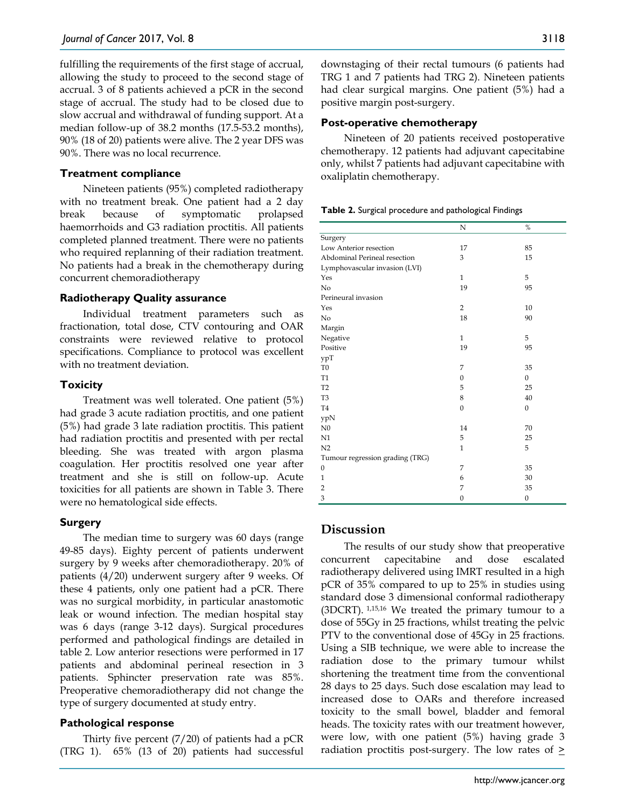fulfilling the requirements of the first stage of accrual, allowing the study to proceed to the second stage of accrual. 3 of 8 patients achieved a pCR in the second stage of accrual. The study had to be closed due to slow accrual and withdrawal of funding support. At a median follow-up of 38.2 months (17.5-53.2 months), 90% (18 of 20) patients were alive. The 2 year DFS was 90%. There was no local recurrence.

## **Treatment compliance**

Nineteen patients (95%) completed radiotherapy with no treatment break. One patient had a 2 day break because of symptomatic prolapsed haemorrhoids and G3 radiation proctitis. All patients completed planned treatment. There were no patients who required replanning of their radiation treatment. No patients had a break in the chemotherapy during concurrent chemoradiotherapy

#### **Radiotherapy Quality assurance**

Individual treatment parameters such as fractionation, total dose, CTV contouring and OAR constraints were reviewed relative to protocol specifications. Compliance to protocol was excellent with no treatment deviation.

#### **Toxicity**

Treatment was well tolerated. One patient (5%) had grade 3 acute radiation proctitis, and one patient (5%) had grade 3 late radiation proctitis. This patient had radiation proctitis and presented with per rectal bleeding. She was treated with argon plasma coagulation. Her proctitis resolved one year after treatment and she is still on follow-up. Acute toxicities for all patients are shown in Table 3. There were no hematological side effects.

#### **Surgery**

The median time to surgery was 60 days (range 49-85 days). Eighty percent of patients underwent surgery by 9 weeks after chemoradiotherapy. 20% of patients (4/20) underwent surgery after 9 weeks. Of these 4 patients, only one patient had a pCR. There was no surgical morbidity, in particular anastomotic leak or wound infection. The median hospital stay was 6 days (range 3-12 days). Surgical procedures performed and pathological findings are detailed in table 2. Low anterior resections were performed in 17 patients and abdominal perineal resection in 3 patients. Sphincter preservation rate was 85%. Preoperative chemoradiotherapy did not change the type of surgery documented at study entry.

## **Pathological response**

Thirty five percent (7/20) of patients had a pCR (TRG 1). 65% (13 of 20) patients had successful downstaging of their rectal tumours (6 patients had TRG 1 and 7 patients had TRG 2). Nineteen patients had clear surgical margins. One patient (5%) had a positive margin post-surgery.

#### **Post-operative chemotherapy**

Nineteen of 20 patients received postoperative chemotherapy. 12 patients had adjuvant capecitabine only, whilst 7 patients had adjuvant capecitabine with oxaliplatin chemotherapy.

**Table 2.** Surgical procedure and pathological Findings

|                                 | N              | %                |
|---------------------------------|----------------|------------------|
| Surgery                         |                |                  |
| Low Anterior resection          | 17             | 85               |
| Abdominal Perineal resection    | 3              | 15               |
| Lymphovascular invasion (LVI)   |                |                  |
| Yes                             | $\mathbf{1}$   | 5                |
| N <sub>o</sub>                  | 19             | 95               |
| Perineural invasion             |                |                  |
| Yes                             | $\overline{2}$ | 10               |
| No                              | 18             | 90               |
| Margin                          |                |                  |
| Negative                        | $\mathbf{1}$   | 5                |
| Positive                        | 19             | 95               |
| ypT                             |                |                  |
| T <sub>0</sub>                  | 7              | 35               |
| T <sub>1</sub>                  | $\mathbf{0}$   | $\mathbf{0}$     |
| T <sub>2</sub>                  | 5              | 25               |
| T <sub>3</sub>                  | 8              | 40               |
| T <sub>4</sub>                  | $\mathbf{0}$   | $\mathbf{0}$     |
| ypN                             |                |                  |
| N <sub>0</sub>                  | 14             | 70               |
| N1                              | 5              | 25               |
| N <sub>2</sub>                  | $\mathbf{1}$   | 5                |
| Tumour regression grading (TRG) |                |                  |
| $\boldsymbol{0}$                | 7              | 35               |
| $\mathbf{1}$                    | 6              | 30               |
| $\overline{2}$                  | 7              | 35               |
| 3                               | $\mathbf{0}$   | $\boldsymbol{0}$ |

# **Discussion**

The results of our study show that preoperative concurrent capecitabine and dose escalated radiotherapy delivered using IMRT resulted in a high pCR of 35% compared to up to 25% in studies using standard dose 3 dimensional conformal radiotherapy (3DCRT). 1,15,16 We treated the primary tumour to a dose of 55Gy in 25 fractions, whilst treating the pelvic PTV to the conventional dose of 45Gy in 25 fractions. Using a SIB technique, we were able to increase the radiation dose to the primary tumour whilst shortening the treatment time from the conventional 28 days to 25 days. Such dose escalation may lead to increased dose to OARs and therefore increased toxicity to the small bowel, bladder and femoral heads. The toxicity rates with our treatment however, were low, with one patient (5%) having grade 3 radiation proctitis post-surgery. The low rates of  $\geq$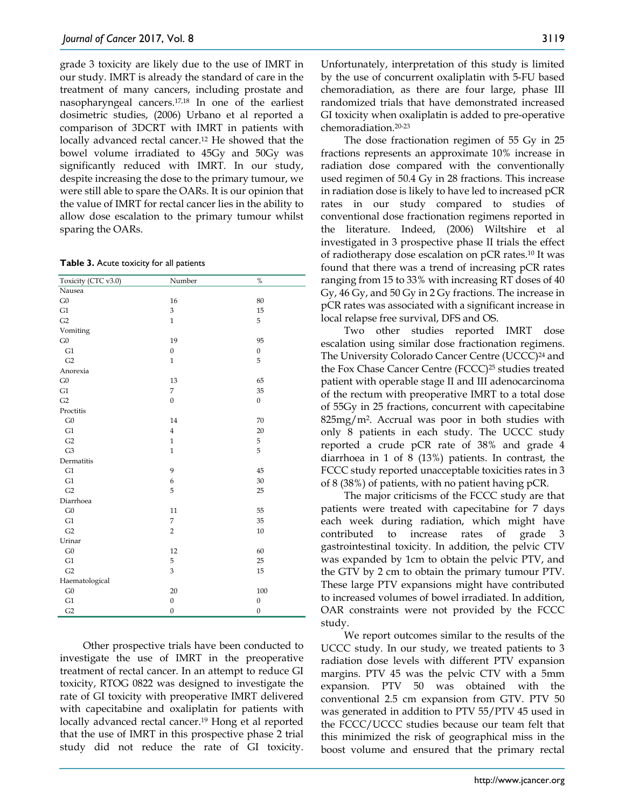grade 3 toxicity are likely due to the use of IMRT in our study. IMRT is already the standard of care in the treatment of many cancers, including prostate and nasopharyngeal cancers.17,18 In one of the earliest dosimetric studies, (2006) Urbano et al reported a comparison of 3DCRT with IMRT in patients with locally advanced rectal cancer.12 He showed that the bowel volume irradiated to 45Gy and 50Gy was significantly reduced with IMRT. In our study, despite increasing the dose to the primary tumour, we were still able to spare the OARs. It is our opinion that the value of IMRT for rectal cancer lies in the ability to allow dose escalation to the primary tumour whilst sparing the OARs.

**Table 3.** Acute toxicity for all patients

| Toxicity (CTC v3.0) | Number           | $\%$             |
|---------------------|------------------|------------------|
| Nausea              |                  |                  |
| G0                  | 16               | 80               |
| G1                  | 3                | 15               |
| G2                  | $\mathbf{1}$     | 5                |
| Vomiting            |                  |                  |
| ${\rm G0}$          | 19               | 95               |
| G1                  | $\boldsymbol{0}$ | $\boldsymbol{0}$ |
| G2                  | $\mathbf{1}$     | 5                |
| Anorexia            |                  |                  |
| G0                  | 13               | 65               |
| G1                  | 7                | 35               |
| G2                  | $\boldsymbol{0}$ | $\boldsymbol{0}$ |
| Proctitis           |                  |                  |
| G <sub>0</sub>      | 14               | 70               |
| G1                  | $\overline{4}$   | 20               |
| G2                  | $\mathbf{1}$     | 5                |
| G <sub>3</sub>      | $\mathbf{1}$     | 5                |
| Dermatitis          |                  |                  |
| G1                  | 9                | 45               |
| G1                  | 6                | 30               |
| G2                  | 5                | 25               |
| Diarrhoea           |                  |                  |
| ${\rm G0}$          | 11               | 55               |
| G1                  | 7                | 35               |
| G2                  | $\overline{c}$   | $10\,$           |
| Urinar              |                  |                  |
| G0                  | 12               | 60               |
| G1                  | 5                | 25               |
| G2                  | 3                | 15               |
| Haematological      |                  |                  |
| ${\rm G0}$          | 20               | 100              |
| G1                  | $\boldsymbol{0}$ | $\boldsymbol{0}$ |
| G2                  | $\boldsymbol{0}$ | $\boldsymbol{0}$ |

Other prospective trials have been conducted to investigate the use of IMRT in the preoperative treatment of rectal cancer. In an attempt to reduce GI toxicity, RTOG 0822 was designed to investigate the rate of GI toxicity with preoperative IMRT delivered with capecitabine and oxaliplatin for patients with locally advanced rectal cancer.<sup>19</sup> Hong et al reported that the use of IMRT in this prospective phase 2 trial study did not reduce the rate of GI toxicity.

Unfortunately, interpretation of this study is limited by the use of concurrent oxaliplatin with 5-FU based chemoradiation, as there are four large, phase III randomized trials that have demonstrated increased GI toxicity when oxaliplatin is added to pre-operative chemoradiation.20-23

The dose fractionation regimen of 55 Gy in 25 fractions represents an approximate 10% increase in radiation dose compared with the conventionally used regimen of 50.4 Gy in 28 fractions. This increase in radiation dose is likely to have led to increased pCR rates in our study compared to studies of conventional dose fractionation regimens reported in the literature. Indeed, (2006) Wiltshire et al investigated in 3 prospective phase II trials the effect of radiotherapy dose escalation on pCR rates.10 It was found that there was a trend of increasing pCR rates ranging from 15 to 33% with increasing RT doses of 40 Gy, 46 Gy, and 50 Gy in 2 Gy fractions. The increase in pCR rates was associated with a significant increase in local relapse free survival, DFS and OS.

Two other studies reported IMRT dose escalation using similar dose fractionation regimens. The University Colorado Cancer Centre (UCCC)<sup>24</sup> and the Fox Chase Cancer Centre (FCCC)25 studies treated patient with operable stage II and III adenocarcinoma of the rectum with preoperative IMRT to a total dose of 55Gy in 25 fractions, concurrent with capecitabine 825mg/m2. Accrual was poor in both studies with only 8 patients in each study. The UCCC study reported a crude pCR rate of 38% and grade 4 diarrhoea in 1 of 8 (13%) patients. In contrast, the FCCC study reported unacceptable toxicities rates in 3 of 8 (38%) of patients, with no patient having pCR.

The major criticisms of the FCCC study are that patients were treated with capecitabine for 7 days each week during radiation, which might have contributed to increase rates of grade 3 gastrointestinal toxicity. In addition, the pelvic CTV was expanded by 1cm to obtain the pelvic PTV, and the GTV by 2 cm to obtain the primary tumour PTV. These large PTV expansions might have contributed to increased volumes of bowel irradiated. In addition, OAR constraints were not provided by the FCCC study.

We report outcomes similar to the results of the UCCC study. In our study, we treated patients to 3 radiation dose levels with different PTV expansion margins. PTV 45 was the pelvic CTV with a 5mm expansion. PTV 50 was obtained with the conventional 2.5 cm expansion from GTV. PTV 50 was generated in addition to PTV 55/PTV 45 used in the FCCC/UCCC studies because our team felt that this minimized the risk of geographical miss in the boost volume and ensured that the primary rectal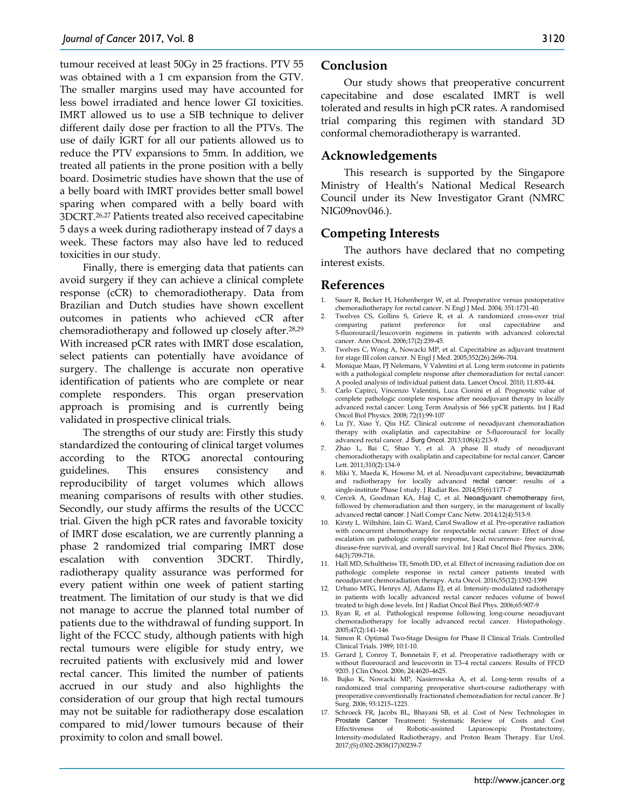tumour received at least 50Gy in 25 fractions. PTV 55 was obtained with a 1 cm expansion from the GTV. The smaller margins used may have accounted for less bowel irradiated and hence lower GI toxicities. IMRT allowed us to use a SIB technique to deliver different daily dose per fraction to all the PTVs. The use of daily IGRT for all our patients allowed us to reduce the PTV expansions to 5mm. In addition, we treated all patients in the prone position with a belly board. Dosimetric studies have shown that the use of a belly board with IMRT provides better small bowel sparing when compared with a belly board with 3DCRT.26,27 Patients treated also received capecitabine 5 days a week during radiotherapy instead of 7 days a week. These factors may also have led to reduced toxicities in our study.

Finally, there is emerging data that patients can avoid surgery if they can achieve a clinical complete response (cCR) to chemoradiotherapy. Data from Brazilian and Dutch studies have shown excellent outcomes in patients who achieved cCR after chemoradiotherapy and followed up closely after.28,29 With increased pCR rates with IMRT dose escalation, select patients can potentially have avoidance of surgery. The challenge is accurate non operative identification of patients who are complete or near complete responders. This organ preservation approach is promising and is currently being validated in prospective clinical trials.

The strengths of our study are: Firstly this study standardized the contouring of clinical target volumes according to the RTOG anorectal contouring guidelines. This ensures consistency and reproducibility of target volumes which allows meaning comparisons of results with other studies. Secondly, our study affirms the results of the UCCC trial. Given the high pCR rates and favorable toxicity of IMRT dose escalation, we are currently planning a phase 2 randomized trial comparing IMRT dose escalation with convention 3DCRT. Thirdly, radiotherapy quality assurance was performed for every patient within one week of patient starting treatment. The limitation of our study is that we did not manage to accrue the planned total number of patients due to the withdrawal of funding support. In light of the FCCC study, although patients with high rectal tumours were eligible for study entry, we recruited patients with exclusively mid and lower rectal cancer. This limited the number of patients accrued in our study and also highlights the consideration of our group that high rectal tumours may not be suitable for radiotherapy dose escalation compared to mid/lower tumours because of their proximity to colon and small bowel.

## **Conclusion**

Our study shows that preoperative concurrent capecitabine and dose escalated IMRT is well tolerated and results in high pCR rates. A randomised trial comparing this regimen with standard 3D conformal chemoradiotherapy is warranted.

# **Acknowledgements**

This research is supported by the Singapore Ministry of Health's National Medical Research Council under its New Investigator Grant (NMRC NIG09nov046.).

# **Competing Interests**

The authors have declared that no competing interest exists.

## **References**

- 1. Sauer R, Becker H, Hohenberger W, et al. Preoperative versus postoperative chemoradiotherapy for rectal cancer. N Engl J Med. 2004; 351:1731-40.
- 2. Twelves CS, Gollins S, Grieve R, et al. A randomized cross-over trial comparing patient preference for oral capecitabine and comparing patient preference for oral capecitabine and 5-fluorouracil/leucovorin regimens in patients with advanced colorectal cancer. Ann Oncol. 2006;17(2):239-45.
- 3. Twelves C, Wong A, Nowacki MP, et al. Capecitabine as adjuvant treatment for stage III colon cancer. N Engl J Med. 2005;352(26):2696-704.
- 4. Monique Maas, PJ Nelemans, V Valentini et al. Long term outcome in patients with a pathological complete response after chemoradiation for rectal cancer: A pooled analysis of individual patient data. Lancet Oncol. 2010; 11:835-44.
- 5. Carlo Capirci, Vincenzo Valentini, Luca Cionini et al. Prognostic value of complete pathologic complete response after neoadjuvant therapy in locally advanced rectal cancer: Long Term Analysis of 566 ypCR patients. Int J Rad Oncol Biol Physics. 2008; 72(1):99-107
- 6. Lu JY, Xiao Y, Qiu HZ. Clinical outcome of neoadjuvant chemoradiation therapy with oxaliplatin and capecitabine or 5-fluorouracil for locally advanced rectal cancer. J Surg Oncol. 2013;108(4):213-9.
- 7. Zhao L, Bai C, Shao Y, et al. A phase II study of neoadjuvant chemoradiotherapy with oxaliplatin and capecitabine for rectal cancer. Cancer Lett. 2011;310(2):134-9
- 8. Miki Y, Maeda K, Hosono M, et al. Neoadjuvant capecitabine, bevacizumab and radiotherapy for locally advanced rectal cancer: results of a single-institute Phase I study. J Radiat Res. 2014;55(6):1171-7
- 9. Cercek A, Goodman KA, Hajj C, et al. Neoadjuvant chemotherapy first, followed by chemoradiation and then surgery, in the management of locally advanced rectal cancer. J Natl Compr Canc Netw. 2014;12(4):513-9.
- 10. Kirsty L. Wiltshire, Iain G. Ward, Carol Swallow et al. Pre-operative radiation with concurrent chemotherapy for respectable rectal cancer: Effect of dose escalation on pathologic complete response, local recurrence- free survival, disease-free survival, and overall survival. Int J Rad Oncol Biol Physics. 2006; 64(3):709-716.
- 11. Hall MD, Schultheiss TE, Smoth DD, et al. Effect of increasing radiation doe on pathologic complete response in rectal cancer patients treated with neoadjuvant chemoradiation therapy. Acta Oncol. 2016;55(12):1392-1399
- 12. Urbano MTG, Henrys AJ, Adams EJ, et al. Intensity-modulated radiotherapy in patients with locally advanced rectal cancer reduces volume of bowel treated to high dose levels. Int J Radiat Oncol Biol Phys. 2006;65:907-9
- 13. Ryan R, et al. Pathological response following long-course neoadjuvant chemoradiotherapy for locally advanced rectal cancer. Histopathology. 2005;47(2):141-146
- 14. Simon R. Optimal Two-Stage Designs for Phase II Clinical Trials. Controlled Clinical Trials. 1989; 10:1-10.
- 15. Gerard J, Conroy T, Bonnetain F, et al. Preoperative radiotherapy with or without fluorouracil and leucovorin in T3–4 rectal cancers: Results of FFCD 9203. J Clin Oncol. 2006; 24:4620–4625.
- 16. Bujko K, Nowacki MP, Nasierowska A, et al. Long-term results of a randomized trial comparing preoperative short-course radiotherapy with preoperative conventionally fractionated chemoradiation for rectal cancer. Br J Surg. 2006; 93:1215–1223.
- 17. Schroeck FR, Jacobs BL, Bhayani SB, et al. Cost of New Technologies in Prostate Cancer Treatment: Systematic Review of Costs and Cost Effectiveness of Robotic-assisted Laparoscopic Prostatectomy, Intensity-modulated Radiotherapy, and Proton Beam Therapy. Eur Urol. 2017;(S):0302-2838(17)30239-7